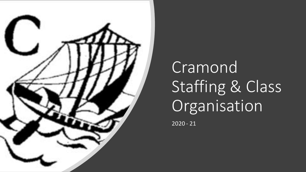

# Cramond Staffing & Class Organisation

2020 - 21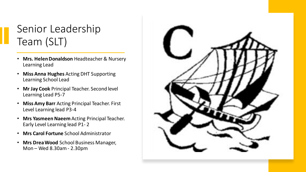### Senior Leadership Team (SLT)

- **Mrs. Helen Donaldson** Headteacher & Nursery Learning Lead
- **Miss Anna Hughes** Acting DHT Supporting Learning School Lead
- **Mr Jay Cook** Principal Teacher. Second level Learning Lead P5-7
- **Miss Amy Barr** Acting Principal Teacher. First Level Learning lead P3-4
- **Mrs Yasmeen Naeem** Acting Principal Teacher. Early Level Learning lead P1- 2
- **Mrs Carol Fortune** School Administrator
- **Mrs Drea Wood** School Business Manager, Mon – Wed 8.30am - 2.30pm

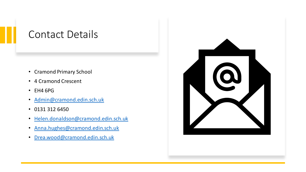#### Contact Details

- Cramond Primary School
- 4 Cramond Crescent
- EH4 6PG
- [Admin@cramond.edin.sch.uk](mailto:Admin@cramond.edin.sch.uk)
- 0131 312 6450
- [Helen.donaldson@cramond.edin.sch.uk](mailto:Helen.donaldson@cramond.edin.sch.uk)
- [Anna.hughes@cramond.edin.sch.uk](mailto:Anna.hughes@cramond.edin.sch.uk)
- [Drea.wood@cramond.edin.sch.uk](mailto:Drea.wood@cramond.edin.sch.uk)

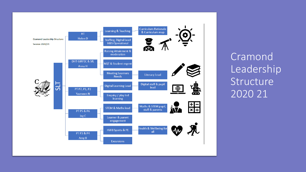Cramond Leadership Structure 2020 21

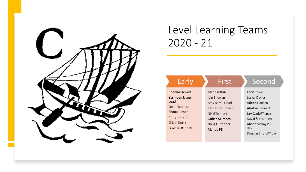

#### Level Learning Teams 2020 - 21

| Early                 | First                  | Second               |
|-----------------------|------------------------|----------------------|
| <b>Rheona</b> Stewart | Marie Arthur           | Chris Powell         |
| Yasmeen Naeem         | Jain Shewan            | Lesley Davies        |
| Lead                  | Amy Barr PT lead       | Aileen Hansen        |
| <b>Owen Robinson</b>  | Katherine Stewart      | Alastair Bennett     |
| <b>Shona Turner</b>   | Nikki Tennant          | Jay Cook PT Lead     |
| <b>Curly Forsyth</b>  | <b>Gillian Murdoch</b> | David & Yasmeen      |
| Gillain Kottis        | Doug Outdoor L         | Alison McKay P7C     |
| (Alastair Bennett)    | <b>Murray PE</b>       | day                  |
|                       |                        | Douglas Short P7 day |
|                       |                        |                      |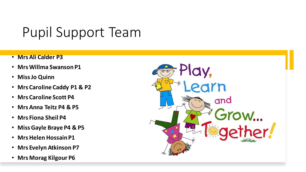### Pupil Support Team

- **Mrs Ali Calder P3**
- **Mrs Willma Swanson P1**
- **Miss Jo Quinn**
- **Mrs Caroline Caddy P1 & P2**
- **Mrs Caroline Scott P4**
- **Mrs Anna Teitz P4 & P5**
- **Mrs Fiona Sheil P4**
- **Miss Gayle Braye P4 & P5**
- **MrsHelen Hossain P1**
- **Mrs Evelyn Atkinson P7**
- **Mrs Morag Kilgour P6**

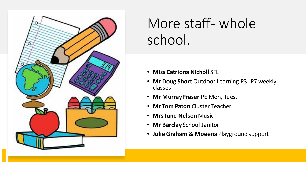

## More staff- whole school.

- **Miss Catriona Nicholl** SFL
- **Mr Doug Short** Outdoor Learning P3- P7 weekly classes
- **Mr Murray Fraser** PE Mon, Tues.
- **Mr Tom Paton** Cluster Teacher
- **MrsJune Nelson**Music
- **Mr Barclay** School Janitor
- **Julie Graham & Moeena** Playground support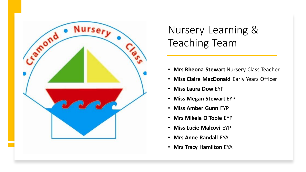

### Nursery Learning & Teaching Team

- **Mrs Rheona Stewart** Nursery Class Teacher
- **Miss Claire MacDonald** Early Years Officer
- **Miss Laura Dow** EYP
- **Miss Megan Stewart** EYP
- **Miss Amber Gunn** EYP
- **Mrs Mikela O'Toole** EYP
- **Miss Lucie Malcovi** EYP
- **Mrs Anne Randall** EYA
- **Mrs Tracy Hamilton** EYA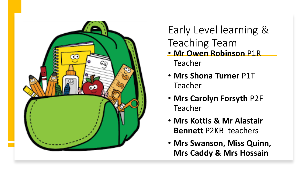

Early Level learning & Teaching Team • **Mr Owen Robinson** P1R Teacher

- **Mrs Shona Turner** P1T Teacher
- **Mrs Carolyn Forsyth** P2F Teacher
- **Mrs Kottis & Mr Alastair Bennett** P2KB teachers
- **Mrs Swanson, Miss Quinn, Mrs Caddy & Mrs Hossain**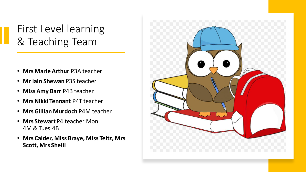### First Level learning & Teaching Team

- **Mrs Marie Arthu**r P3A teacher
- **Mr Iain Shewan** P3S teacher
- **Miss Amy Barr** P4B teacher
- **MrsNikki Tennant** P4T teacher
- **MrsGillian Murdoch** P4M teacher
- **Mrs Stewart** P4 teacher Mon 4M & Tues 4B
- **Mrs Calder, Miss Braye, Miss Teitz, Mrs Scott, Mrs Sheiil**

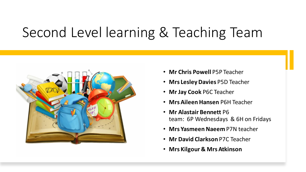### Second Level learning & Teaching Team



- **Mr Chris Powell** P5P Teacher
- **Mrs Lesley Davies** P5D Teacher
- **Mr Jay Cook** P6C Teacher
- **Mrs Aileen Hansen** P6H Teacher
- **Mr Alastair Bennett** P6 team: 6P Wednesdays & 6H on Fridays
- **Mrs Yasmeen Naeem** P7N teacher
- **Mr David Clarkson** P7C Teacher
- **Mrs Kilgour & Mrs Atkinson**